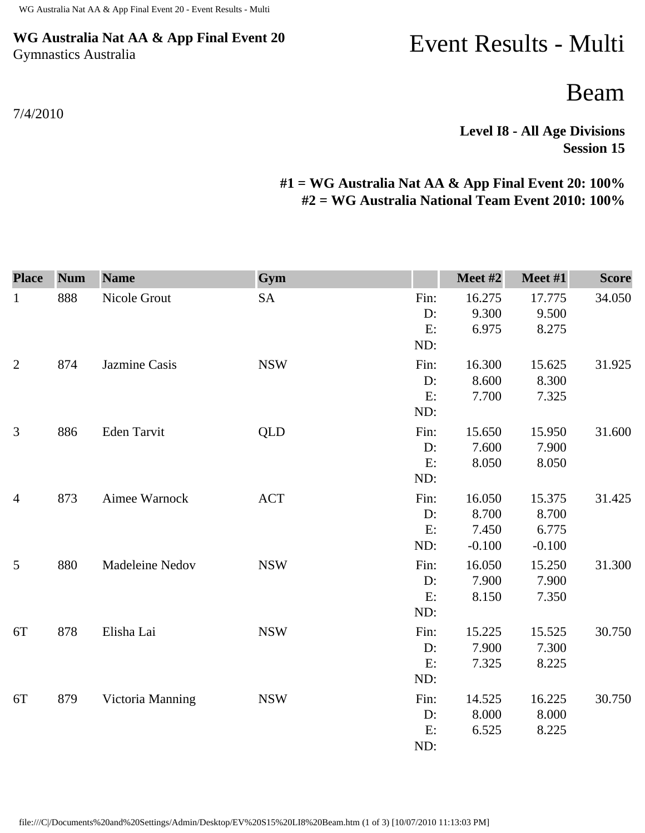### **WG Australia Nat AA & App Final Event 20** Gymnastics Australia

#### 7/4/2010

# Event Results - Multi

## Beam

**Level I8 - All Age Divisions Session 15** 

### **#1 = WG Australia Nat AA & App Final Event 20: 100% #2 = WG Australia National Team Event 2010: 100%**

| <b>Place</b>   | <b>Num</b> | <b>Name</b>      | Gym        |       | Meet #2  | Meet #1  | <b>Score</b> |
|----------------|------------|------------------|------------|-------|----------|----------|--------------|
| $\mathbf{1}$   | 888        | Nicole Grout     | <b>SA</b>  | Fin:  | 16.275   | 17.775   | 34.050       |
|                |            |                  |            | D:    | 9.300    | 9.500    |              |
|                |            |                  |            | E:    | 6.975    | 8.275    |              |
|                |            |                  |            | ND:   |          |          |              |
| $\overline{2}$ | 874        | Jazmine Casis    | <b>NSW</b> | Fin:  | 16.300   | 15.625   | 31.925       |
|                |            |                  |            | D:    | 8.600    | 8.300    |              |
|                |            |                  |            | E:    | 7.700    | 7.325    |              |
|                |            |                  |            | ND:   |          |          |              |
| $\mathfrak{Z}$ | 886        | Eden Tarvit      | <b>QLD</b> | Fin:  | 15.650   | 15.950   | 31.600       |
|                |            |                  |            | D:    | 7.600    | 7.900    |              |
|                |            |                  |            | E:    | 8.050    | 8.050    |              |
|                |            |                  |            | ND:   |          |          |              |
| $\overline{4}$ | 873        | Aimee Warnock    | <b>ACT</b> | Fin:  | 16.050   | 15.375   | 31.425       |
|                |            |                  |            | $D$ : | 8.700    | 8.700    |              |
|                |            |                  |            | E:    | 7.450    | 6.775    |              |
|                |            |                  |            | ND:   | $-0.100$ | $-0.100$ |              |
| 5              | 880        | Madeleine Nedov  | <b>NSW</b> | Fin:  | 16.050   | 15.250   | 31.300       |
|                |            |                  |            | D:    | 7.900    | 7.900    |              |
|                |            |                  |            | E:    | 8.150    | 7.350    |              |
|                |            |                  |            | ND:   |          |          |              |
| 6T             | 878        | Elisha Lai       | <b>NSW</b> | Fin:  | 15.225   | 15.525   | 30.750       |
|                |            |                  |            | D:    | 7.900    | 7.300    |              |
|                |            |                  |            | E:    | 7.325    | 8.225    |              |
|                |            |                  |            | ND:   |          |          |              |
| 6T             | 879        | Victoria Manning | <b>NSW</b> | Fin:  | 14.525   | 16.225   | 30.750       |
|                |            |                  |            | D:    | 8.000    | 8.000    |              |
|                |            |                  |            | E:    | 6.525    | 8.225    |              |
|                |            |                  |            | ND:   |          |          |              |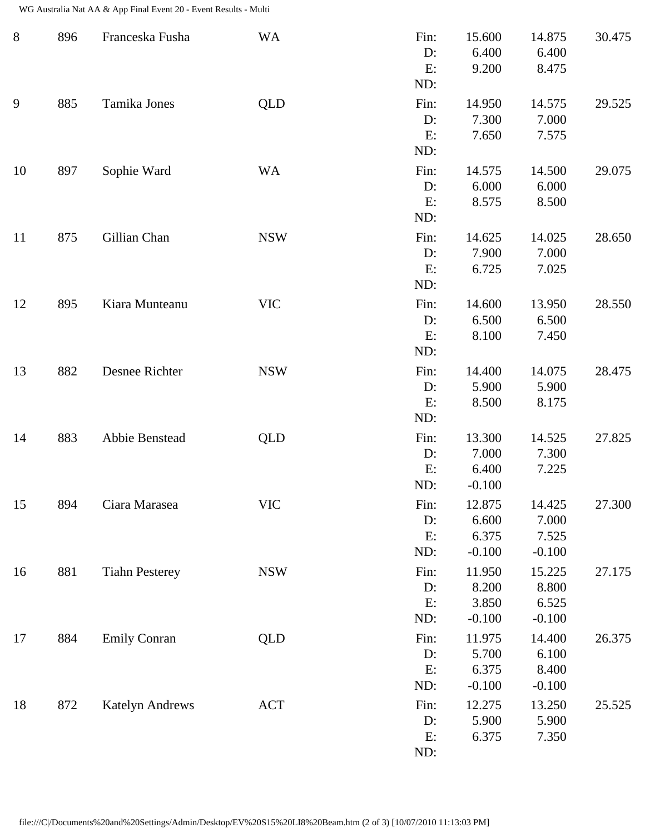WG Australia Nat AA & App Final Event 20 - Event Results - Multi

| $8\,$ | 896 | Franceska Fusha        | <b>WA</b>  | Fin:<br>D:<br>E:<br>ND:    | 15.600<br>6.400<br>9.200             | 14.875<br>6.400<br>8.475             | 30.475 |
|-------|-----|------------------------|------------|----------------------------|--------------------------------------|--------------------------------------|--------|
| 9     | 885 | Tamika Jones           | QLD        | Fin:<br>D:<br>E:<br>ND:    | 14.950<br>7.300<br>7.650             | 14.575<br>7.000<br>7.575             | 29.525 |
| 10    | 897 | Sophie Ward            | <b>WA</b>  | Fin:<br>$D$ :<br>E:<br>ND: | 14.575<br>6.000<br>8.575             | 14.500<br>6.000<br>8.500             | 29.075 |
| 11    | 875 | Gillian Chan           | <b>NSW</b> | Fin:<br>$D$ :<br>E:<br>ND: | 14.625<br>7.900<br>6.725             | 14.025<br>7.000<br>7.025             | 28.650 |
| 12    | 895 | Kiara Munteanu         | <b>VIC</b> | Fin:<br>$D$ :<br>E:<br>ND: | 14.600<br>6.500<br>8.100             | 13.950<br>6.500<br>7.450             | 28.550 |
| 13    | 882 | Desnee Richter         | <b>NSW</b> | Fin:<br>D:<br>E:<br>ND:    | 14.400<br>5.900<br>8.500             | 14.075<br>5.900<br>8.175             | 28.475 |
| 14    | 883 | Abbie Benstead         | <b>QLD</b> | Fin:<br>D:<br>E:<br>ND:    | 13.300<br>7.000<br>6.400<br>$-0.100$ | 14.525<br>7.300<br>7.225             | 27.825 |
| 15    | 894 | Ciara Marasea          | <b>VIC</b> | Fin:<br>D:<br>E:<br>ND:    | 12.875<br>6.600<br>6.375<br>$-0.100$ | 14.425<br>7.000<br>7.525<br>$-0.100$ | 27.300 |
| 16    | 881 | <b>Tiahn Pesterey</b>  | <b>NSW</b> | Fin:<br>$D$ :<br>E:<br>ND: | 11.950<br>8.200<br>3.850<br>$-0.100$ | 15.225<br>8.800<br>6.525<br>$-0.100$ | 27.175 |
| 17    | 884 | <b>Emily Conran</b>    | QLD        | Fin:<br>D:<br>E:<br>ND:    | 11.975<br>5.700<br>6.375<br>$-0.100$ | 14.400<br>6.100<br>8.400<br>$-0.100$ | 26.375 |
| 18    | 872 | <b>Katelyn Andrews</b> | <b>ACT</b> | Fin:<br>D:<br>E:<br>ND:    | 12.275<br>5.900<br>6.375             | 13.250<br>5.900<br>7.350             | 25.525 |